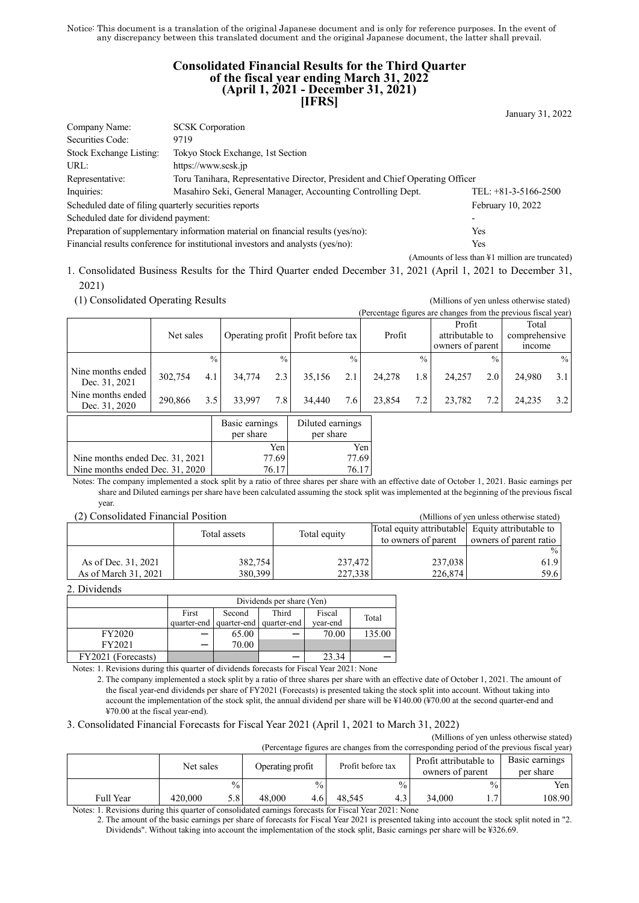Notice: This document is a translation of the original Japanese document and is only for reference purposes. In the event of any discrepancy between this translated document and the original Japanese document, the latter shall prevail.

# **Consolidated Financial Results for the Third Quarter of the fiscal year ending March 31, 2022 (April 1, 2021 - December 31, 2021) [IFRS]**

January 31, 2022

| Company Name:                                                                                    |                         |  |  |  |  |
|--------------------------------------------------------------------------------------------------|-------------------------|--|--|--|--|
| 9719                                                                                             |                         |  |  |  |  |
| Tokyo Stock Exchange, 1st Section                                                                |                         |  |  |  |  |
| https://www.scsk.jp                                                                              |                         |  |  |  |  |
| Toru Tanihara, Representative Director, President and Chief Operating Officer<br>Representative: |                         |  |  |  |  |
| Masahiro Seki, General Manager, Accounting Controlling Dept.<br>TEL: $+81-3-5166-2500$           |                         |  |  |  |  |
| Scheduled date of filing quarterly securities reports<br>February 10, 2022                       |                         |  |  |  |  |
| Scheduled date for dividend payment:<br>$\overline{\phantom{a}}$                                 |                         |  |  |  |  |
| Preparation of supplementary information material on financial results (yes/no):<br>Yes          |                         |  |  |  |  |
| Financial results conference for institutional investors and analysts (yes/no):<br>Yes           |                         |  |  |  |  |
|                                                                                                  | <b>SCSK</b> Corporation |  |  |  |  |

(Amounts of less than ¥1 million are truncated)

1. Consolidated Business Results for the Third Quarter ended December 31, 2021 (April 1, 2021 to December 31,

2021)

(1) Consolidated Operating Results (Millions of yen unless otherwise stated)

|  | (Millions of yen unless otherwise stated)                      |
|--|----------------------------------------------------------------|
|  | (Percentage figures are changes from the previous fiscal year) |
|  |                                                                |

|                                    | Net sales |                  |        |               | Operating profit Profit before tax |               | Profit |               | Profit<br>attributable to<br>owners of parent |               | Total<br>comprehensive<br><i>n</i> come |      |
|------------------------------------|-----------|------------------|--------|---------------|------------------------------------|---------------|--------|---------------|-----------------------------------------------|---------------|-----------------------------------------|------|
|                                    |           | $\frac{0}{0}$    |        | $\frac{0}{0}$ |                                    | $\frac{0}{0}$ |        | $\frac{0}{0}$ |                                               | $\frac{0}{0}$ |                                         | $\%$ |
| Nine months ended<br>Dec. 31, 2021 | 302,754   | 4.1 <sub>1</sub> | 34,774 | 2.3           | 35,156                             | 2.1           | 24,278 | 1.8           | 24.257                                        | 2.0           | 24,980                                  | 3.1  |
| Nine months ended<br>Dec. 31, 2020 | 290.866   | 3.5              | 33.997 | 7.8           | 34,440                             | 7.6           | 23,854 | 7.2           | 23.782                                        | 7.2           | 24.235                                  | 3.2  |
|                                    |           |                  | $\sim$ |               | $-1$                               |               |        |               |                                               |               |                                         |      |

|                                 | Basic earnings<br>per share | Diluted earnings<br>per share |
|---------------------------------|-----------------------------|-------------------------------|
|                                 | Yen                         | Yen                           |
| Nine months ended Dec. 31, 2021 | 77.69                       | 77.69                         |
| Nine months ended Dec. 31, 2020 | 76 17                       | 76.17                         |

Notes: The company implemented a stock split by a ratio of three shares per share with an effective date of October 1, 2021. Basic earnings per share and Diluted earnings per share have been calculated assuming the stock split was implemented at the beginning of the previous fiscal year.

(2) Consolidated Financial Position (Millions of yen unless otherwise stated)

| (2) Consontance I manoial I osnion<br>(TVIIIIOIIS OI VUII UIIIUSS OUIUI WISU STATUU) |              |              |                                                  |                        |  |  |  |
|--------------------------------------------------------------------------------------|--------------|--------------|--------------------------------------------------|------------------------|--|--|--|
|                                                                                      | Total assets | Total equity | Total equity attributable Equity attributable to |                        |  |  |  |
|                                                                                      |              |              | to owners of parent                              | owners of parent ratio |  |  |  |
|                                                                                      |              |              |                                                  | $\%$                   |  |  |  |
| As of Dec. 31, 2021                                                                  | 382,754      | 237,472      | 237,038                                          | 61.9                   |  |  |  |
| As of March 31, 2021                                                                 | 380,399      | 227,338      | 226,874                                          | 59.6                   |  |  |  |

2. Dividends

|                    | Dividends per share (Yen) |                                     |  |          |        |  |  |
|--------------------|---------------------------|-------------------------------------|--|----------|--------|--|--|
|                    | First                     | Fiscal<br>Third<br>Second<br>Total  |  |          |        |  |  |
|                    |                           | quarter-end quarter-end quarter-end |  | vear-end |        |  |  |
| FY2020             |                           | 65.00                               |  | 70.00    | 135.00 |  |  |
| FY2021             |                           | 70.00                               |  |          |        |  |  |
| FY2021 (Forecasts) |                           |                                     |  | 23.34    |        |  |  |

Notes: 1. Revisions during this quarter of dividends forecasts for Fiscal Year 2021: None

2. The company implemented a stock split by a ratio of three shares per share with an effective date of October 1, 2021. The amount of the fiscal year-end dividends per share of FY2021 (Forecasts) is presented taking the stock split into account. Without taking into account the implementation of the stock split, the annual dividend per share will be ¥140.00 (¥70.00 at the second quarter-end and ¥70.00 at the fiscal year-end).

3. Consolidated Financial Forecasts for Fiscal Year 2021 (April 1, 2021 to March 31, 2022)

(Millions of yen unless otherwise stated) o period of the previous fis

| (Percentage figures are changes from the corresponding period of the previous fiscal year) |         |           |        |                  |        |                   |        |                                            |                             |
|--------------------------------------------------------------------------------------------|---------|-----------|--------|------------------|--------|-------------------|--------|--------------------------------------------|-----------------------------|
|                                                                                            |         | Net sales |        | Operating profit |        | Profit before tax |        | Profit attributable to<br>owners of parent | Basic earnings<br>per share |
|                                                                                            |         | $^{0/6}$  |        | $\frac{0}{0}$    |        | $\frac{0}{0}$     |        | $\frac{0}{0}$                              | Yen l                       |
| Full Year                                                                                  | 420,000 | 5.8       | 48,000 | 4.6              | 48.545 | 4.3               | 34,000 |                                            | 108.90                      |

Notes: 1. Revisions during this quarter of consolidated earnings forecasts for Fiscal Year 2021: None

2. The amount of the basic earnings per share of forecasts for Fiscal Year 2021 is presented taking into account the stock split noted in "2. Dividends". Without taking into account the implementation of the stock split, Basic earnings per share will be ¥326.69.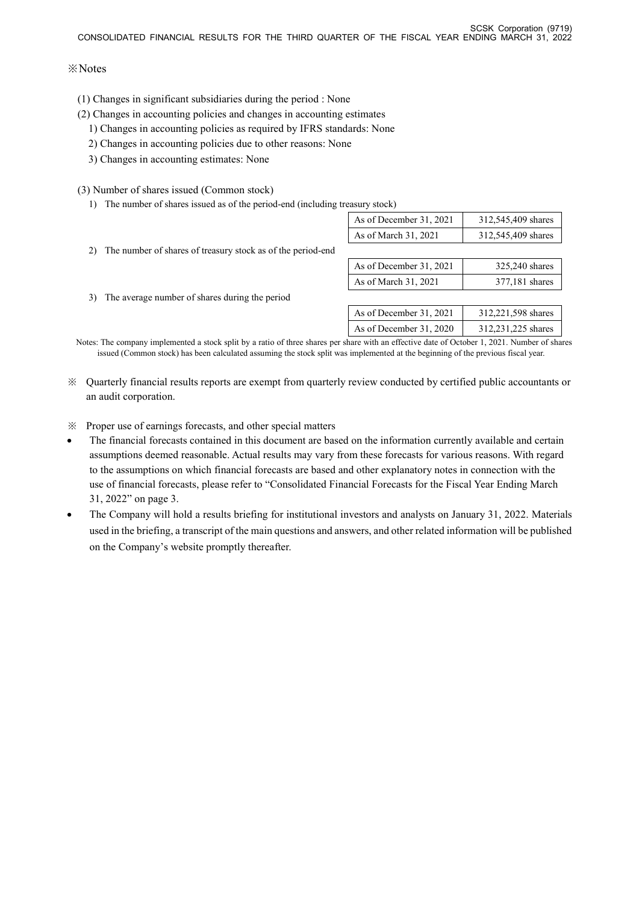# ※Notes

- (1) Changes in significant subsidiaries during the period : None
- (2) Changes in accounting policies and changes in accounting estimates
	- 1) Changes in accounting policies as required by IFRS standards: None
	- 2) Changes in accounting policies due to other reasons: None
	- 3) Changes in accounting estimates: None

# (3) Number of shares issued (Common stock)

1) The number of shares issued as of the period-end (including treasury stock)

|                                                                                                                         | As of December 31, 2021 | 312,545,409 shares |
|-------------------------------------------------------------------------------------------------------------------------|-------------------------|--------------------|
|                                                                                                                         | As of March 31, 2021    | 312,545,409 shares |
| 2) The number of shares of treasury stock as of the period-end                                                          |                         |                    |
|                                                                                                                         | As of December 31, 2021 | 325,240 shares     |
|                                                                                                                         | As of March 31, 2021    | 377,181 shares     |
| 3) The average number of shares during the period                                                                       |                         |                    |
|                                                                                                                         | As of December 31, 2021 | 312,221,598 shares |
|                                                                                                                         | As of December 31, 2020 | 312,231,225 shares |
| res The component model of the Hart Line and of American construction officient direct Ocratica 1, 0001. Mandrea of die |                         |                    |

Notes: The company implemented a stock split by a ratio of three shares per share with an effective date of October 1, 2021. Number of shares issued (Common stock) has been calculated assuming the stock split was implemented at the beginning of the previous fiscal year.

※ Quarterly financial results reports are exempt from quarterly review conducted by certified public accountants or an audit corporation.

※ Proper use of earnings forecasts, and other special matters

- The financial forecasts contained in this document are based on the information currently available and certain assumptions deemed reasonable. Actual results may vary from these forecasts for various reasons. With regard to the assumptions on which financial forecasts are based and other explanatory notes in connection with the use of financial forecasts, please refer to "Consolidated Financial Forecasts for the Fiscal Year Ending March 31, 2022" on page 3.
- The Company will hold a results briefing for institutional investors and analysts on January 31, 2022. Materials used in the briefing, a transcript of the main questions and answers, and other related information will be published on the Company's website promptly thereafter.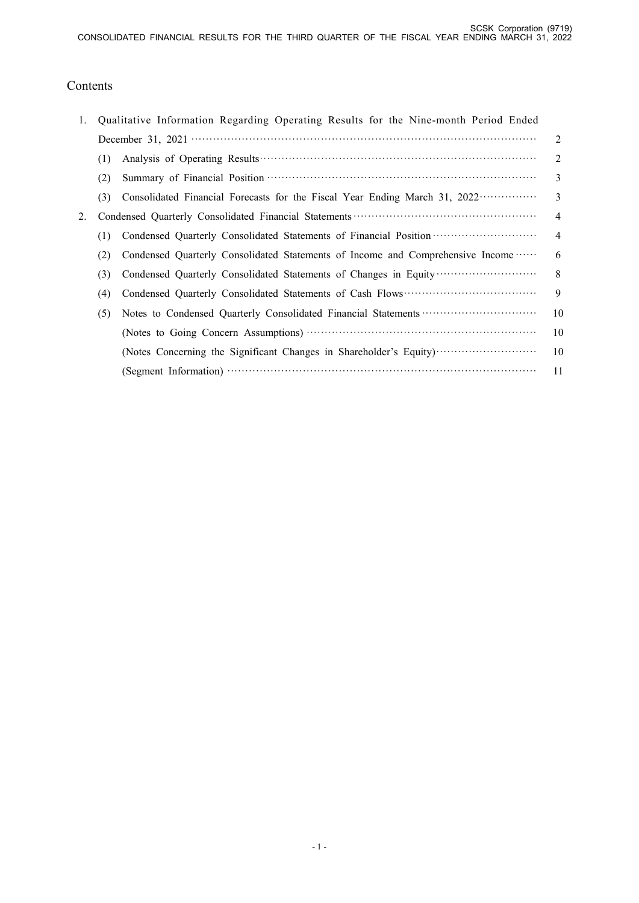# Contents

| 1. |     | Qualitative Information Regarding Operating Results for the Nine-month Period Ended                 |                |
|----|-----|-----------------------------------------------------------------------------------------------------|----------------|
|    |     |                                                                                                     | 2              |
|    | (1) |                                                                                                     | $\mathfrak{D}$ |
|    | (2) |                                                                                                     | 3              |
|    | (3) | Consolidated Financial Forecasts for the Fiscal Year Ending March 31, 2022                          | $\mathcal{E}$  |
| 2. |     |                                                                                                     | $\overline{4}$ |
|    | (1) | Condensed Quarterly Consolidated Statements of Financial Position ································· | $\overline{4}$ |
|    | (2) | Condensed Quarterly Consolidated Statements of Income and Comprehensive Income                      | 6              |
|    | (3) | Condensed Quarterly Consolidated Statements of Changes in Equity                                    | 8              |
|    | (4) |                                                                                                     | 9              |
|    | (5) |                                                                                                     | 10             |
|    |     |                                                                                                     | 10             |
|    |     | (Notes Concerning the Significant Changes in Shareholder's Equity)                                  | 10             |
|    |     |                                                                                                     | 11             |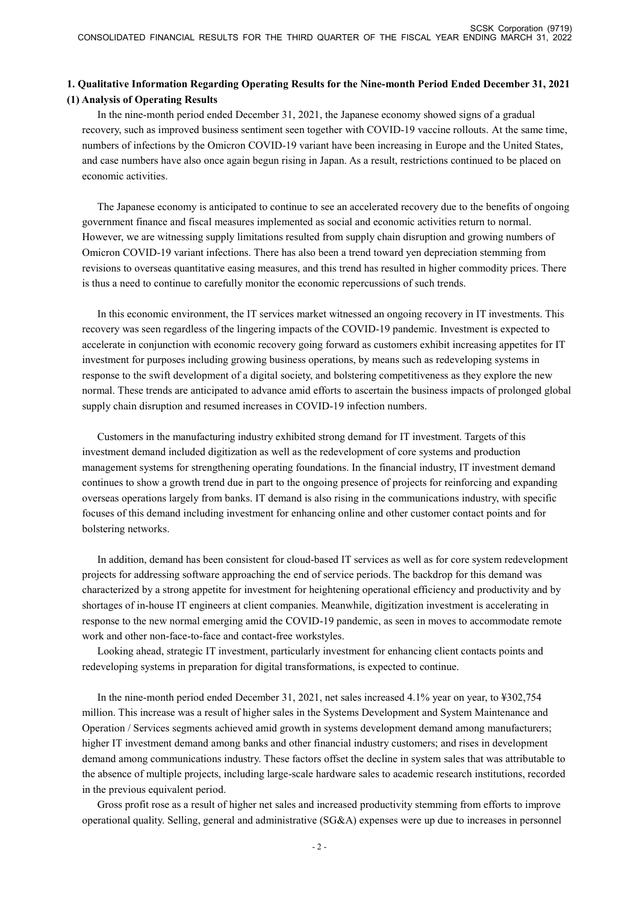# **1. Qualitative Information Regarding Operating Results for the Nine-month Period Ended December 31, 2021 (1) Analysis of Operating Results**

In the nine-month period ended December 31, 2021, the Japanese economy showed signs of a gradual recovery, such as improved business sentiment seen together with COVID-19 vaccine rollouts. At the same time, numbers of infections by the Omicron COVID-19 variant have been increasing in Europe and the United States, and case numbers have also once again begun rising in Japan. As a result, restrictions continued to be placed on economic activities.

The Japanese economy is anticipated to continue to see an accelerated recovery due to the benefits of ongoing government finance and fiscal measures implemented as social and economic activities return to normal. However, we are witnessing supply limitations resulted from supply chain disruption and growing numbers of Omicron COVID-19 variant infections. There has also been a trend toward yen depreciation stemming from revisions to overseas quantitative easing measures, and this trend has resulted in higher commodity prices. There is thus a need to continue to carefully monitor the economic repercussions of such trends.

In this economic environment, the IT services market witnessed an ongoing recovery in IT investments. This recovery was seen regardless of the lingering impacts of the COVID-19 pandemic. Investment is expected to accelerate in conjunction with economic recovery going forward as customers exhibit increasing appetites for IT investment for purposes including growing business operations, by means such as redeveloping systems in response to the swift development of a digital society, and bolstering competitiveness as they explore the new normal. These trends are anticipated to advance amid efforts to ascertain the business impacts of prolonged global supply chain disruption and resumed increases in COVID-19 infection numbers.

Customers in the manufacturing industry exhibited strong demand for IT investment. Targets of this investment demand included digitization as well as the redevelopment of core systems and production management systems for strengthening operating foundations. In the financial industry, IT investment demand continues to show a growth trend due in part to the ongoing presence of projects for reinforcing and expanding overseas operations largely from banks. IT demand is also rising in the communications industry, with specific focuses of this demand including investment for enhancing online and other customer contact points and for bolstering networks.

In addition, demand has been consistent for cloud-based IT services as well as for core system redevelopment projects for addressing software approaching the end of service periods. The backdrop for this demand was characterized by a strong appetite for investment for heightening operational efficiency and productivity and by shortages of in-house IT engineers at client companies. Meanwhile, digitization investment is accelerating in response to the new normal emerging amid the COVID-19 pandemic, as seen in moves to accommodate remote work and other non-face-to-face and contact-free workstyles.

Looking ahead, strategic IT investment, particularly investment for enhancing client contacts points and redeveloping systems in preparation for digital transformations, is expected to continue.

In the nine-month period ended December 31, 2021, net sales increased 4.1% year on year, to ¥302,754 million. This increase was a result of higher sales in the Systems Development and System Maintenance and Operation / Services segments achieved amid growth in systems development demand among manufacturers; higher IT investment demand among banks and other financial industry customers; and rises in development demand among communications industry. These factors offset the decline in system sales that was attributable to the absence of multiple projects, including large-scale hardware sales to academic research institutions, recorded in the previous equivalent period.

Gross profit rose as a result of higher net sales and increased productivity stemming from efforts to improve operational quality. Selling, general and administrative (SG&A) expenses were up due to increases in personnel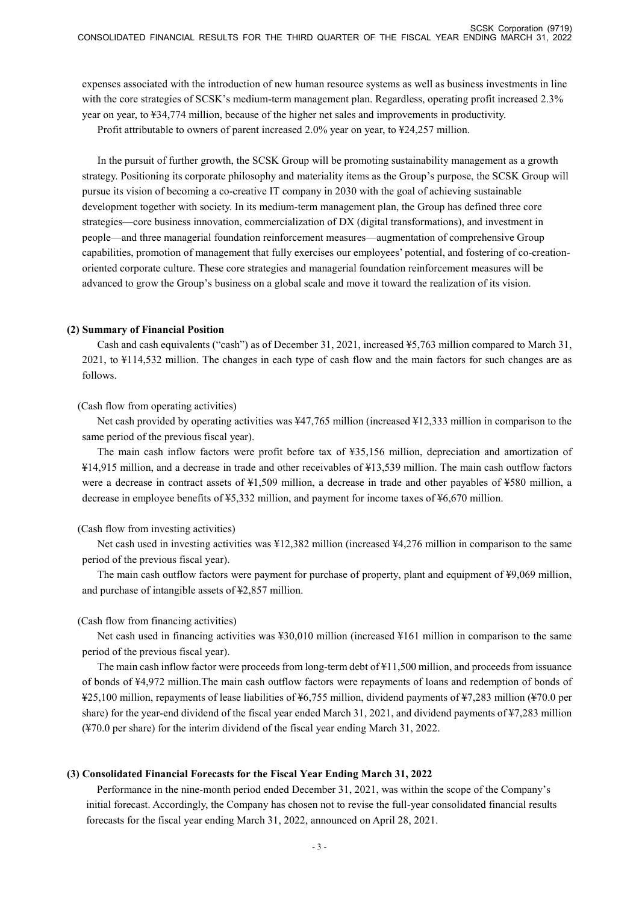expenses associated with the introduction of new human resource systems as well as business investments in line with the core strategies of SCSK's medium-term management plan. Regardless, operating profit increased 2.3% year on year, to ¥34,774 million, because of the higher net sales and improvements in productivity.

Profit attributable to owners of parent increased 2.0% year on year, to ¥24,257 million.

In the pursuit of further growth, the SCSK Group will be promoting sustainability management as a growth strategy. Positioning its corporate philosophy and materiality items as the Group's purpose, the SCSK Group will pursue its vision of becoming a co-creative IT company in 2030 with the goal of achieving sustainable development together with society. In its medium-term management plan, the Group has defined three core strategies—core business innovation, commercialization of DX (digital transformations), and investment in people—and three managerial foundation reinforcement measures—augmentation of comprehensive Group capabilities, promotion of management that fully exercises our employees' potential, and fostering of co-creationoriented corporate culture. These core strategies and managerial foundation reinforcement measures will be advanced to grow the Group's business on a global scale and move it toward the realization of its vision.

#### **(2) Summary of Financial Position**

Cash and cash equivalents ("cash") as of December 31, 2021, increased ¥5,763 million compared to March 31, 2021, to ¥114,532 million. The changes in each type of cash flow and the main factors for such changes are as follows.

#### (Cash flow from operating activities)

Net cash provided by operating activities was ¥47,765 million (increased ¥12,333 million in comparison to the same period of the previous fiscal year).

The main cash inflow factors were profit before tax of ¥35,156 million, depreciation and amortization of ¥14,915 million, and a decrease in trade and other receivables of ¥13,539 million. The main cash outflow factors were a decrease in contract assets of ¥1,509 million, a decrease in trade and other payables of ¥580 million, a decrease in employee benefits of ¥5,332 million, and payment for income taxes of ¥6,670 million.

#### (Cash flow from investing activities)

Net cash used in investing activities was ¥12,382 million (increased ¥4,276 million in comparison to the same period of the previous fiscal year).

The main cash outflow factors were payment for purchase of property, plant and equipment of ¥9,069 million, and purchase of intangible assets of ¥2,857 million.

#### (Cash flow from financing activities)

Net cash used in financing activities was ¥30,010 million (increased ¥161 million in comparison to the same period of the previous fiscal year).

The main cash inflow factor were proceeds from long-term debt of ¥11,500 million, and proceeds from issuance of bonds of ¥4,972 million.The main cash outflow factors were repayments of loans and redemption of bonds of ¥25,100 million, repayments of lease liabilities of ¥6,755 million, dividend payments of ¥7,283 million (¥70.0 per share) for the year-end dividend of the fiscal year ended March 31, 2021, and dividend payments of ¥7,283 million (¥70.0 per share) for the interim dividend of the fiscal year ending March 31, 2022.

#### **(3) Consolidated Financial Forecasts for the Fiscal Year Ending March 31, 2022**

Performance in the nine-month period ended December 31, 2021, was within the scope of the Company's initial forecast. Accordingly, the Company has chosen not to revise the full-year consolidated financial results forecasts for the fiscal year ending March 31, 2022, announced on April 28, 2021.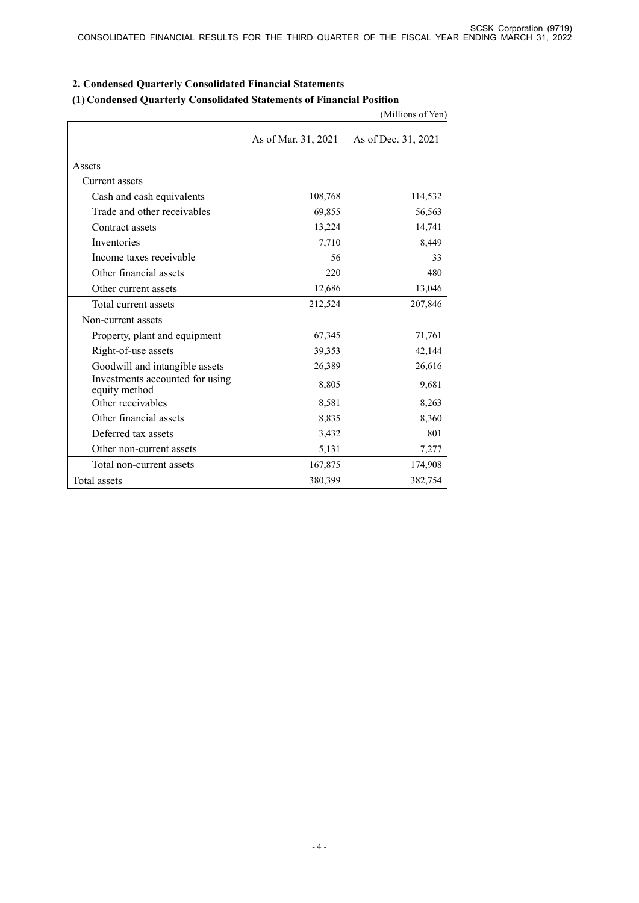|                                                  |                     | (Millions of Yen)   |
|--------------------------------------------------|---------------------|---------------------|
|                                                  | As of Mar. 31, 2021 | As of Dec. 31, 2021 |
| Assets                                           |                     |                     |
| Current assets                                   |                     |                     |
| Cash and cash equivalents                        | 108,768             | 114,532             |
| Trade and other receivables                      | 69,855              | 56,563              |
| Contract assets                                  | 13,224              | 14,741              |
| Inventories                                      | 7,710               | 8,449               |
| Income taxes receivable                          | 56                  | 33                  |
| Other financial assets                           | 220                 | 480                 |
| Other current assets                             | 12,686              | 13,046              |
| Total current assets                             | 212,524             | 207,846             |
| Non-current assets                               |                     |                     |
| Property, plant and equipment                    | 67,345              | 71,761              |
| Right-of-use assets                              | 39,353              | 42,144              |
| Goodwill and intangible assets                   | 26,389              | 26,616              |
| Investments accounted for using<br>equity method | 8,805               | 9,681               |
| Other receivables                                | 8,581               | 8,263               |
| Other financial assets                           | 8,835               | 8,360               |
| Deferred tax assets                              | 3,432               | 801                 |
| Other non-current assets                         | 5,131               | 7,277               |
| Total non-current assets                         | 167,875             | 174,908             |
| Total assets                                     | 380,399             | 382,754             |

# **2. Condensed Quarterly Consolidated Financial Statements**

# **(1) Condensed Quarterly Consolidated Statements of Financial Position**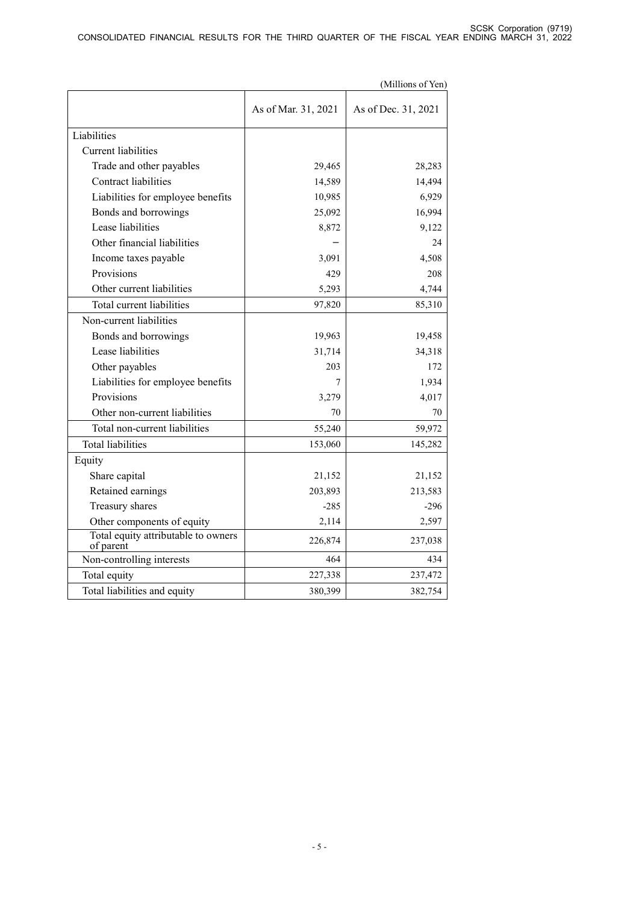|                                                  |                     | (Millions of Yen)   |
|--------------------------------------------------|---------------------|---------------------|
|                                                  | As of Mar. 31, 2021 | As of Dec. 31, 2021 |
| Liabilities                                      |                     |                     |
| Current liabilities                              |                     |                     |
| Trade and other payables                         | 29,465              | 28,283              |
| <b>Contract liabilities</b>                      | 14,589              | 14,494              |
| Liabilities for employee benefits                | 10,985              | 6,929               |
| Bonds and borrowings                             | 25,092              | 16,994              |
| Lease liabilities                                | 8,872               | 9,122               |
| Other financial liabilities                      |                     | 24                  |
| Income taxes payable                             | 3,091               | 4,508               |
| Provisions                                       | 429                 | 208                 |
| Other current liabilities                        | 5,293               | 4,744               |
| Total current liabilities                        | 97,820              | 85,310              |
| Non-current liabilities                          |                     |                     |
| Bonds and borrowings                             | 19,963              | 19,458              |
| Lease liabilities                                | 31,714              | 34,318              |
| Other payables                                   | 203                 | 172                 |
| Liabilities for employee benefits                | 7                   | 1,934               |
| Provisions                                       | 3,279               | 4,017               |
| Other non-current liabilities                    | 70                  | 70                  |
| Total non-current liabilities                    | 55,240              | 59,972              |
| <b>Total liabilities</b>                         | 153,060             | 145,282             |
| Equity                                           |                     |                     |
| Share capital                                    | 21,152              | 21,152              |
| Retained earnings                                | 203,893             | 213,583             |
| Treasury shares                                  | $-285$              | $-296$              |
| Other components of equity                       | 2,114               | 2,597               |
| Total equity attributable to owners<br>of parent | 226,874             | 237,038             |
| Non-controlling interests                        | 464                 | 434                 |
| Total equity                                     | 227,338             | 237,472             |
| Total liabilities and equity                     | 380,399             | 382,754             |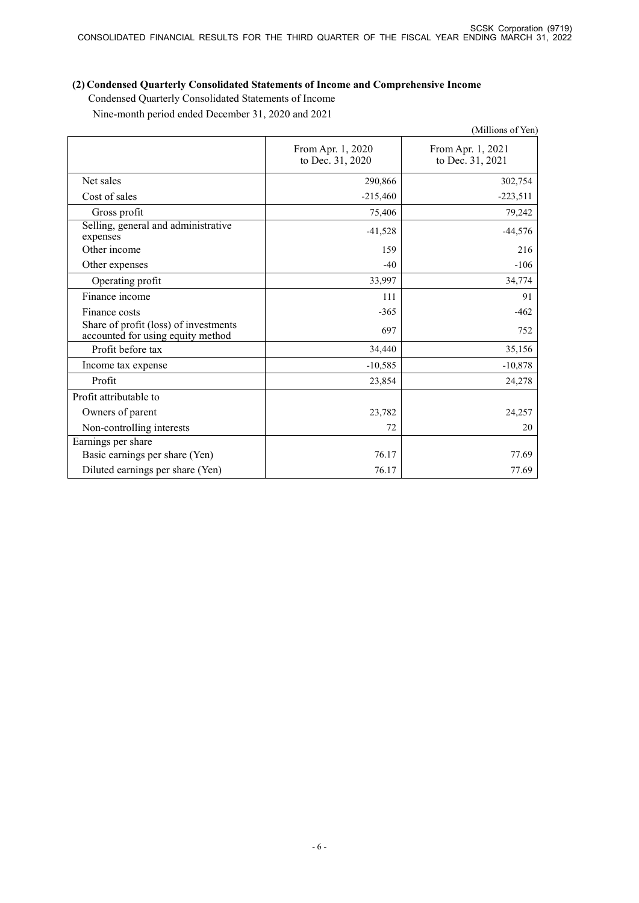# **(2) Condensed Quarterly Consolidated Statements of Income and Comprehensive Income**

Condensed Quarterly Consolidated Statements of Income Nine-month period ended December 31, 2020 and 2021

|                                                                            |                                       | (Millions of Yen)                     |
|----------------------------------------------------------------------------|---------------------------------------|---------------------------------------|
|                                                                            | From Apr. 1, 2020<br>to Dec. 31, 2020 | From Apr. 1, 2021<br>to Dec. 31, 2021 |
| Net sales                                                                  | 290,866                               | 302,754                               |
| Cost of sales                                                              | $-215,460$                            | $-223,511$                            |
| Gross profit                                                               | 75,406                                | 79,242                                |
| Selling, general and administrative<br>expenses                            | $-41,528$                             | $-44,576$                             |
| Other income                                                               | 159                                   | 216                                   |
| Other expenses                                                             | $-40$                                 | $-106$                                |
| Operating profit                                                           | 33,997                                | 34,774                                |
| Finance income                                                             | 111                                   | 91                                    |
| Finance costs                                                              | $-365$                                | $-462$                                |
| Share of profit (loss) of investments<br>accounted for using equity method | 697                                   | 752                                   |
| Profit before tax                                                          | 34,440                                | 35,156                                |
| Income tax expense                                                         | $-10,585$                             | $-10,878$                             |
| Profit                                                                     | 23,854                                | 24,278                                |
| Profit attributable to                                                     |                                       |                                       |
| Owners of parent                                                           | 23,782                                | 24,257                                |
| Non-controlling interests                                                  | 72                                    | 20                                    |
| Earnings per share                                                         |                                       |                                       |
| Basic earnings per share (Yen)                                             | 76.17                                 | 77.69                                 |
| Diluted earnings per share (Yen)                                           | 76.17                                 | 77.69                                 |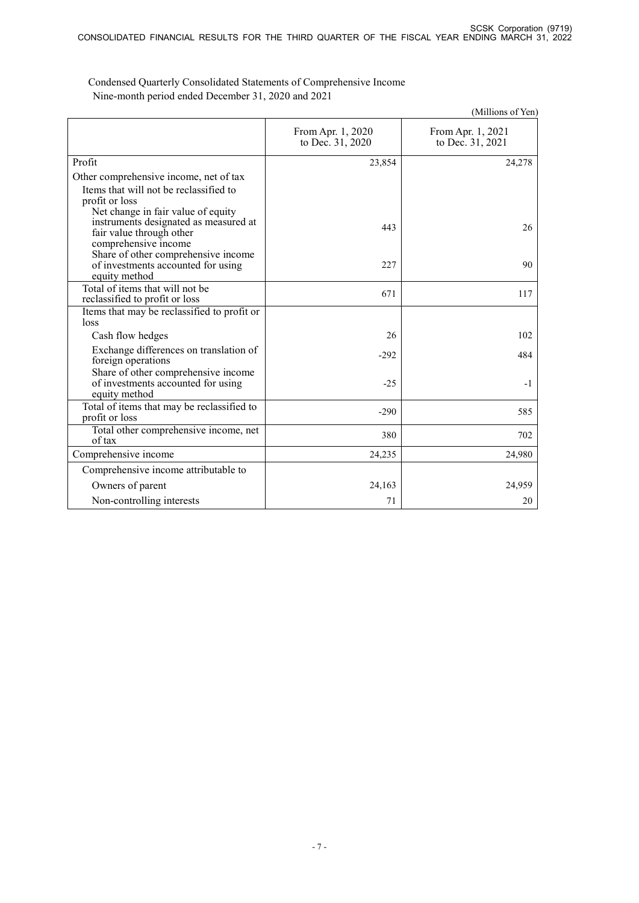|                                                                                                                                 |                                       | (Millions of Yen)                     |
|---------------------------------------------------------------------------------------------------------------------------------|---------------------------------------|---------------------------------------|
|                                                                                                                                 | From Apr. 1, 2020<br>to Dec. 31, 2020 | From Apr. 1, 2021<br>to Dec. 31, 2021 |
| Profit                                                                                                                          | 23,854                                | 24,278                                |
| Other comprehensive income, net of tax<br>Items that will not be reclassified to<br>profit or loss                              |                                       |                                       |
| Net change in fair value of equity<br>instruments designated as measured at<br>fair value through other<br>comprehensive income | 443                                   | 26                                    |
| Share of other comprehensive income<br>of investments accounted for using<br>equity method                                      | 227                                   | 90                                    |
| Total of items that will not be<br>reclassified to profit or loss                                                               | 671                                   | 117                                   |
| Items that may be reclassified to profit or<br>loss                                                                             |                                       |                                       |
| Cash flow hedges                                                                                                                | 26                                    | 102                                   |
| Exchange differences on translation of<br>foreign operations                                                                    | $-292$                                | 484                                   |
| Share of other comprehensive income<br>of investments accounted for using<br>equity method                                      | $-25$                                 | $-1$                                  |
| Total of items that may be reclassified to<br>profit or loss                                                                    | $-290$                                | 585                                   |
| Total other comprehensive income, net<br>of tax                                                                                 | 380                                   | 702                                   |
| Comprehensive income                                                                                                            | 24,235                                | 24,980                                |
| Comprehensive income attributable to                                                                                            |                                       |                                       |
| Owners of parent                                                                                                                | 24,163                                | 24,959                                |
| Non-controlling interests                                                                                                       | 71                                    | 20                                    |

Condensed Quarterly Consolidated Statements of Comprehensive Income Nine-month period ended December 31, 2020 and 2021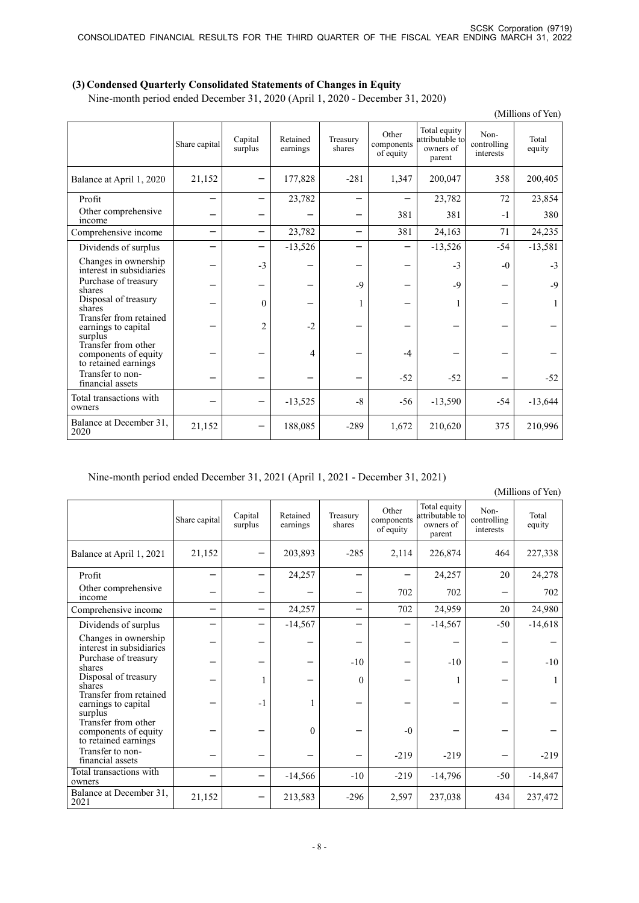# **(3) Condensed Quarterly Consolidated Statements of Changes in Equity**

Nine-month period ended December 31, 2020 (April 1, 2020 - December 31, 2020)

| (Millions of Yen)                                                   |                          |                    |                      |                          |                                  |                                                        |                                  |                 |
|---------------------------------------------------------------------|--------------------------|--------------------|----------------------|--------------------------|----------------------------------|--------------------------------------------------------|----------------------------------|-----------------|
|                                                                     | Share capital            | Capital<br>surplus | Retained<br>earnings | Treasury<br>shares       | Other<br>components<br>of equity | Total equity<br>attributable to<br>owners of<br>parent | Non-<br>controlling<br>interests | Total<br>equity |
| Balance at April 1, 2020                                            | 21,152                   |                    | 177,828              | $-281$                   | 1,347                            | 200,047                                                | 358                              | 200,405         |
| Profit                                                              |                          |                    | 23,782               |                          |                                  | 23,782                                                 | 72                               | 23,854          |
| Other comprehensive<br>income                                       |                          |                    |                      |                          | 381                              | 381                                                    | $-1$                             | 380             |
| Comprehensive income                                                | $\overline{\phantom{0}}$ |                    | 23,782               | $\overline{\phantom{0}}$ | 381                              | 24,163                                                 | 71                               | 24,235          |
| Dividends of surplus                                                |                          |                    | $-13,526$            |                          |                                  | $-13,526$                                              | $-54$                            | $-13,581$       |
| Changes in ownership<br>interest in subsidiaries                    |                          | $-3$               |                      |                          |                                  | $-3$                                                   | $-0$                             | $-3$            |
| Purchase of treasury<br>shares                                      |                          |                    |                      | $-9$                     |                                  | $-9$                                                   |                                  | $-9$            |
| Disposal of treasury<br>shares                                      |                          | $\theta$           |                      | 1                        |                                  | 1                                                      |                                  | 1               |
| Transfer from retained<br>earnings to capital<br>surplus            |                          | $\overline{2}$     | $-2$                 |                          |                                  |                                                        |                                  |                 |
| Transfer from other<br>components of equity<br>to retained earnings |                          |                    | 4                    |                          | $-4$                             |                                                        |                                  |                 |
| Transfer to non-<br>financial assets                                |                          |                    |                      |                          | $-52$                            | $-52$                                                  |                                  | $-52$           |
| Total transactions with<br>owners                                   |                          |                    | $-13,525$            | $-8$                     | $-56$                            | $-13,590$                                              | $-54$                            | $-13,644$       |
| Balance at December 31,<br>2020                                     | 21,152                   |                    | 188,085              | $-289$                   | 1,672                            | 210,620                                                | 375                              | 210,996         |

# Nine-month period ended December 31, 2021 (April 1, 2021 - December 31, 2021)

(Millions of Yen)

|                                                                     | Share capital | Capital<br>surplus | Retained<br>earnings | Treasury<br>shares | Other<br>components<br>of equity | Total equity<br>attributable to<br>owners of<br>parent | Non-<br>controlling<br>interests | Total<br>equity |
|---------------------------------------------------------------------|---------------|--------------------|----------------------|--------------------|----------------------------------|--------------------------------------------------------|----------------------------------|-----------------|
| Balance at April 1, 2021                                            | 21,152        |                    | 203,893              | $-285$             | 2,114                            | 226,874                                                | 464                              | 227,338         |
| Profit                                                              |               |                    | 24,257               |                    |                                  | 24,257                                                 | 20                               | 24,278          |
| Other comprehensive<br>income                                       |               |                    |                      |                    | 702                              | 702                                                    |                                  | 702             |
| Comprehensive income                                                | -             |                    | 24,257               | -                  | 702                              | 24,959                                                 | 20                               | 24,980          |
| Dividends of surplus                                                |               |                    | $-14,567$            |                    |                                  | $-14,567$                                              | $-50$                            | $-14,618$       |
| Changes in ownership<br>interest in subsidiaries                    |               |                    |                      |                    |                                  |                                                        |                                  |                 |
| Purchase of treasury<br>shares                                      |               |                    |                      | $-10$              |                                  | $-10$                                                  |                                  | $-10$           |
| Disposal of treasury<br>shares                                      |               |                    |                      | $\theta$           |                                  |                                                        |                                  |                 |
| Transfer from retained<br>earnings to capital<br>surplus            |               | $-1$               |                      |                    |                                  |                                                        |                                  |                 |
| Transfer from other<br>components of equity<br>to retained earnings |               |                    | $\Omega$             |                    | $-0$                             |                                                        |                                  |                 |
| Transfer to non-<br>financial assets                                |               |                    |                      |                    | $-219$                           | $-219$                                                 |                                  | $-219$          |
| Total transactions with<br>owners                                   |               |                    | $-14,566$            | $-10$              | $-219$                           | $-14,796$                                              | $-50$                            | $-14,847$       |
| Balance at December 31,<br>2021                                     | 21,152        |                    | 213,583              | $-296$             | 2,597                            | 237,038                                                | 434                              | 237,472         |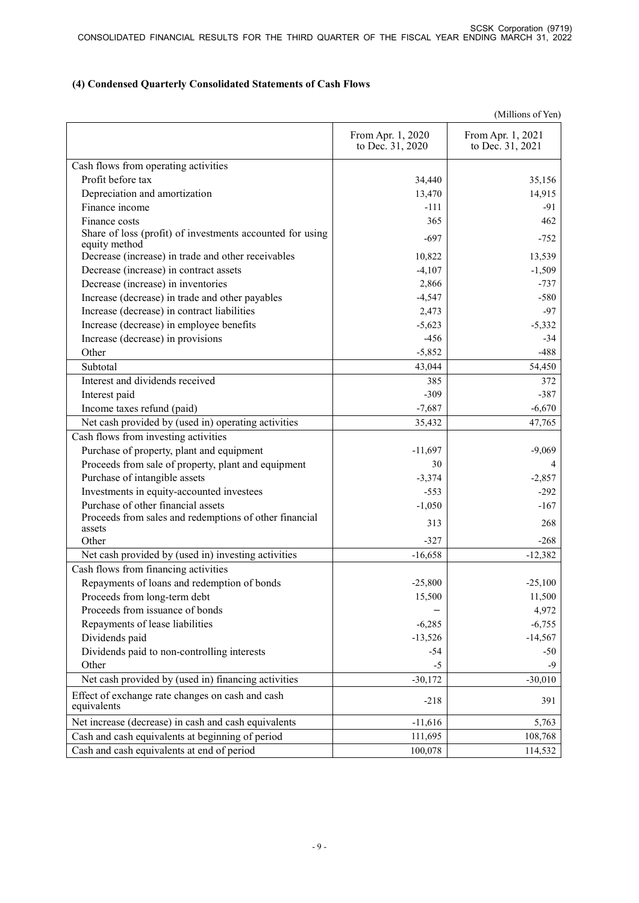# **(4) Condensed Quarterly Consolidated Statements of Cash Flows**

| (Millions of Yen) |  |
|-------------------|--|
|-------------------|--|

|                                                                            | From Apr. 1, 2020<br>to Dec. 31, 2020 | From Apr. 1, 2021<br>to Dec. 31, 2021 |
|----------------------------------------------------------------------------|---------------------------------------|---------------------------------------|
| Cash flows from operating activities                                       |                                       |                                       |
| Profit before tax                                                          | 34,440                                | 35,156                                |
| Depreciation and amortization                                              | 13,470                                | 14,915                                |
| Finance income                                                             | $-111$                                | $-91$                                 |
| Finance costs                                                              | 365                                   | 462                                   |
| Share of loss (profit) of investments accounted for using<br>equity method | $-697$                                | $-752$                                |
| Decrease (increase) in trade and other receivables                         | 10,822                                | 13,539                                |
| Decrease (increase) in contract assets                                     | $-4,107$                              | $-1,509$                              |
| Decrease (increase) in inventories                                         | 2,866                                 | $-737$                                |
| Increase (decrease) in trade and other payables                            | $-4,547$                              | $-580$                                |
| Increase (decrease) in contract liabilities                                | 2,473                                 | $-97$                                 |
| Increase (decrease) in employee benefits                                   | $-5,623$                              | $-5,332$                              |
| Increase (decrease) in provisions                                          | $-456$                                | $-34$                                 |
| Other                                                                      | $-5,852$                              | $-488$                                |
| Subtotal                                                                   | 43,044                                | 54,450                                |
| Interest and dividends received                                            | 385                                   | 372                                   |
| Interest paid                                                              | $-309$                                | $-387$                                |
| Income taxes refund (paid)                                                 | $-7,687$                              | $-6,670$                              |
| Net cash provided by (used in) operating activities                        | 35,432                                | 47,765                                |
| Cash flows from investing activities                                       |                                       |                                       |
| Purchase of property, plant and equipment                                  | $-11,697$                             | $-9,069$                              |
| Proceeds from sale of property, plant and equipment                        | 30                                    | 4                                     |
| Purchase of intangible assets                                              | $-3,374$                              | $-2,857$                              |
| Investments in equity-accounted investees                                  | $-553$                                | $-292$                                |
| Purchase of other financial assets                                         | $-1,050$                              | $-167$                                |
| Proceeds from sales and redemptions of other financial<br>assets           | 313                                   | 268                                   |
| Other                                                                      | $-327$                                | $-268$                                |
| Net cash provided by (used in) investing activities                        | $-16,658$                             | $-12,382$                             |
| Cash flows from financing activities                                       |                                       |                                       |
| Repayments of loans and redemption of bonds                                | $-25,800$                             | $-25,100$                             |
| Proceeds from long-term debt                                               | 15,500                                | 11,500                                |
| Proceeds from issuance of bonds                                            |                                       | 4,972                                 |
| Repayments of lease liabilities                                            | $-6,285$                              | $-6,755$                              |
| Dividends paid                                                             | $-13,526$                             | $-14,567$                             |
| Dividends paid to non-controlling interests                                | $-54$                                 | $-50$                                 |
| Other                                                                      | $-5$                                  | $-9$                                  |
| Net cash provided by (used in) financing activities                        | $-30,172$                             | $-30,010$                             |
| Effect of exchange rate changes on cash and cash<br>equivalents            | $-218$                                | 391                                   |
| Net increase (decrease) in cash and cash equivalents                       | $-11,616$                             | 5,763                                 |
| Cash and cash equivalents at beginning of period                           | 111,695                               | 108,768                               |
| Cash and cash equivalents at end of period                                 | 100,078                               | 114,532                               |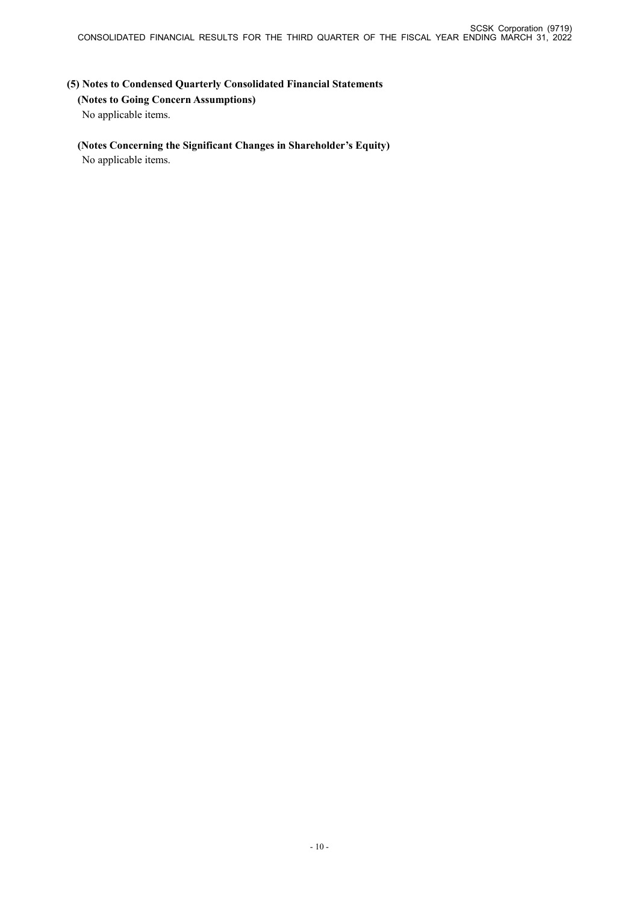# **(5) Notes to Condensed Quarterly Consolidated Financial Statements (Notes to Going Concern Assumptions)** No applicable items.

# **(Notes Concerning the Significant Changes in Shareholder's Equity)**

No applicable items.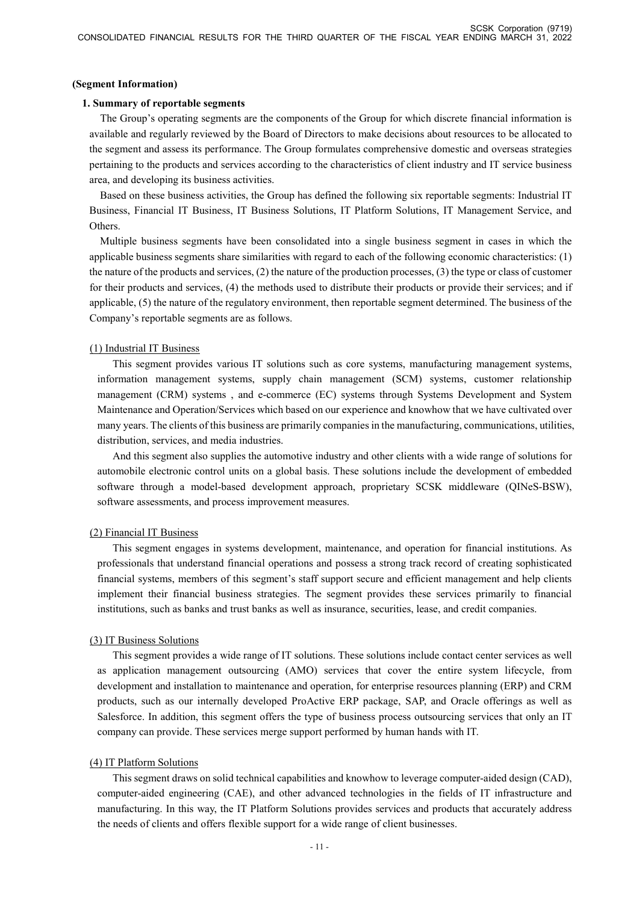#### **(Segment Information)**

#### **1. Summary of reportable segments**

The Group's operating segments are the components of the Group for which discrete financial information is available and regularly reviewed by the Board of Directors to make decisions about resources to be allocated to the segment and assess its performance. The Group formulates comprehensive domestic and overseas strategies pertaining to the products and services according to the characteristics of client industry and IT service business area, and developing its business activities.

Based on these business activities, the Group has defined the following six reportable segments: Industrial IT Business, Financial IT Business, IT Business Solutions, IT Platform Solutions, IT Management Service, and Others.

Multiple business segments have been consolidated into a single business segment in cases in which the applicable business segments share similarities with regard to each of the following economic characteristics: (1) the nature of the products and services, (2) the nature of the production processes, (3) the type or class of customer for their products and services, (4) the methods used to distribute their products or provide their services; and if applicable, (5) the nature of the regulatory environment, then reportable segment determined. The business of the Company's reportable segments are as follows.

# (1) Industrial IT Business

This segment provides various IT solutions such as core systems, manufacturing management systems, information management systems, supply chain management (SCM) systems, customer relationship management (CRM) systems , and e-commerce (EC) systems through Systems Development and System Maintenance and Operation/Services which based on our experience and knowhow that we have cultivated over many years. The clients of this business are primarily companies in the manufacturing, communications, utilities, distribution, services, and media industries.

And this segment also supplies the automotive industry and other clients with a wide range of solutions for automobile electronic control units on a global basis. These solutions include the development of embedded software through a model-based development approach, proprietary SCSK middleware (QINeS-BSW), software assessments, and process improvement measures.

# (2) Financial IT Business

This segment engages in systems development, maintenance, and operation for financial institutions. As professionals that understand financial operations and possess a strong track record of creating sophisticated financial systems, members of this segment's staff support secure and efficient management and help clients implement their financial business strategies. The segment provides these services primarily to financial institutions, such as banks and trust banks as well as insurance, securities, lease, and credit companies.

# (3) IT Business Solutions

This segment provides a wide range of IT solutions. These solutions include contact center services as well as application management outsourcing (AMO) services that cover the entire system lifecycle, from development and installation to maintenance and operation, for enterprise resources planning (ERP) and CRM products, such as our internally developed ProActive ERP package, SAP, and Oracle offerings as well as Salesforce. In addition, this segment offers the type of business process outsourcing services that only an IT company can provide. These services merge support performed by human hands with IT.

# (4) IT Platform Solutions

This segment draws on solid technical capabilities and knowhow to leverage computer-aided design (CAD), computer-aided engineering (CAE), and other advanced technologies in the fields of IT infrastructure and manufacturing. In this way, the IT Platform Solutions provides services and products that accurately address the needs of clients and offers flexible support for a wide range of client businesses.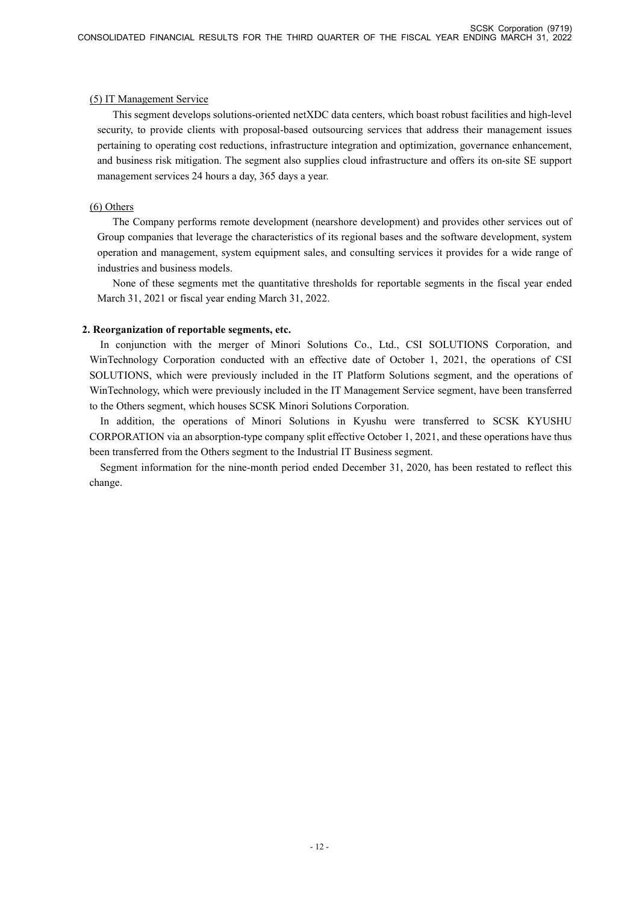# (5) IT Management Service

This segment develops solutions-oriented netXDC data centers, which boast robust facilities and high-level security, to provide clients with proposal-based outsourcing services that address their management issues pertaining to operating cost reductions, infrastructure integration and optimization, governance enhancement, and business risk mitigation. The segment also supplies cloud infrastructure and offers its on-site SE support management services 24 hours a day, 365 days a year.

# (6) Others

The Company performs remote development (nearshore development) and provides other services out of Group companies that leverage the characteristics of its regional bases and the software development, system operation and management, system equipment sales, and consulting services it provides for a wide range of industries and business models.

None of these segments met the quantitative thresholds for reportable segments in the fiscal year ended March 31, 2021 or fiscal year ending March 31, 2022.

# **2. Reorganization of reportable segments, etc.**

In conjunction with the merger of Minori Solutions Co., Ltd., CSI SOLUTIONS Corporation, and WinTechnology Corporation conducted with an effective date of October 1, 2021, the operations of CSI SOLUTIONS, which were previously included in the IT Platform Solutions segment, and the operations of WinTechnology, which were previously included in the IT Management Service segment, have been transferred to the Others segment, which houses SCSK Minori Solutions Corporation.

In addition, the operations of Minori Solutions in Kyushu were transferred to SCSK KYUSHU CORPORATION via an absorption-type company split effective October 1, 2021, and these operations have thus been transferred from the Others segment to the Industrial IT Business segment.

Segment information for the nine-month period ended December 31, 2020, has been restated to reflect this change.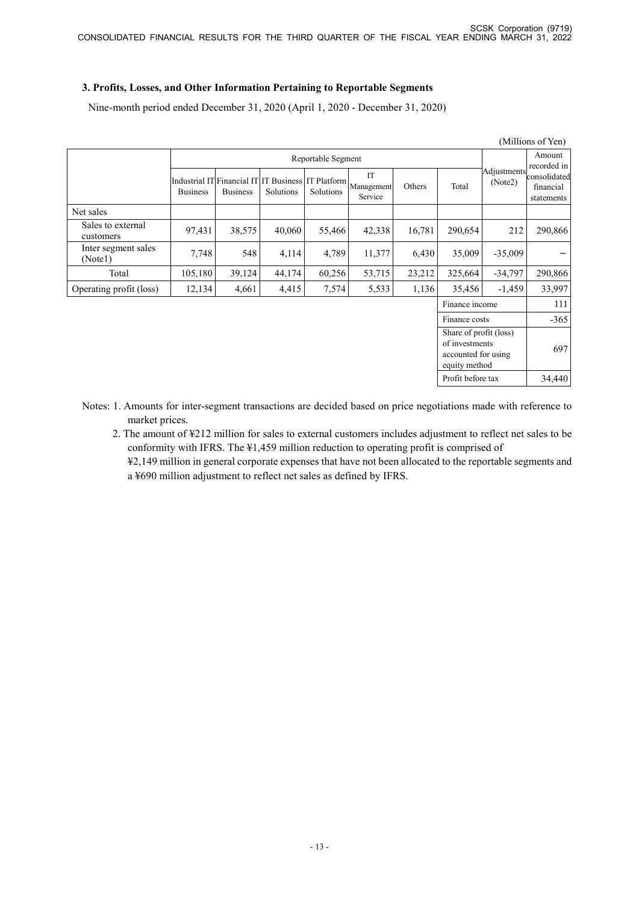# **3. Profits, Losses, and Other Information Pertaining to Reportable Segments**

Nine-month period ended December 31, 2020 (April 1, 2020 - December 31, 2020)

|                                |                                               |                 |           |           |                                                     |        |                                                                                  |                        | (Millions of Yen)                       |
|--------------------------------|-----------------------------------------------|-----------------|-----------|-----------|-----------------------------------------------------|--------|----------------------------------------------------------------------------------|------------------------|-----------------------------------------|
|                                | Reportable Segment                            |                 |           |           |                                                     |        |                                                                                  | Amount<br>recorded in  |                                         |
|                                | Industrial IT Financial IT<br><b>Business</b> | <b>Business</b> | Solutions | Solutions | IT<br>IT Business IT Platform Management<br>Service | Others | Total                                                                            | Adjustments<br>(Note2) | consolidated<br>financial<br>statements |
| Net sales                      |                                               |                 |           |           |                                                     |        |                                                                                  |                        |                                         |
| Sales to external<br>customers | 97,431                                        | 38,575          | 40,060    | 55,466    | 42,338                                              | 16,781 | 290,654                                                                          | 212                    | 290,866                                 |
| Inter segment sales<br>(Note1) | 7,748                                         | 548             | 4,114     | 4,789     | 11,377                                              | 6,430  | 35,009                                                                           | $-35,009$              |                                         |
| Total                          | 105,180                                       | 39,124          | 44,174    | 60,256    | 53,715                                              | 23,212 | 325,664                                                                          | $-34,797$              | 290,866                                 |
| Operating profit (loss)        | 12,134                                        | 4,661           | 4,415     | 7,574     | 5,533                                               | 1,136  | 35,456                                                                           | $-1,459$               | 33,997                                  |
| Finance income                 |                                               |                 |           |           |                                                     |        |                                                                                  | 111                    |                                         |
| Finance costs                  |                                               |                 |           |           |                                                     |        |                                                                                  | $-365$                 |                                         |
|                                |                                               |                 |           |           |                                                     |        | Share of profit (loss)<br>of investments<br>accounted for using<br>equity method |                        | 697                                     |
|                                |                                               |                 |           |           |                                                     |        | Profit before tax                                                                |                        | 34,440                                  |

- Notes: 1. Amounts for inter-segment transactions are decided based on price negotiations made with reference to market prices.
	- 2. The amount of ¥212 million for sales to external customers includes adjustment to reflect net sales to be conformity with IFRS. The ¥1,459 million reduction to operating profit is comprised of
		- ¥2,149 million in general corporate expenses that have not been allocated to the reportable segments and a ¥690 million adjustment to reflect net sales as defined by IFRS.